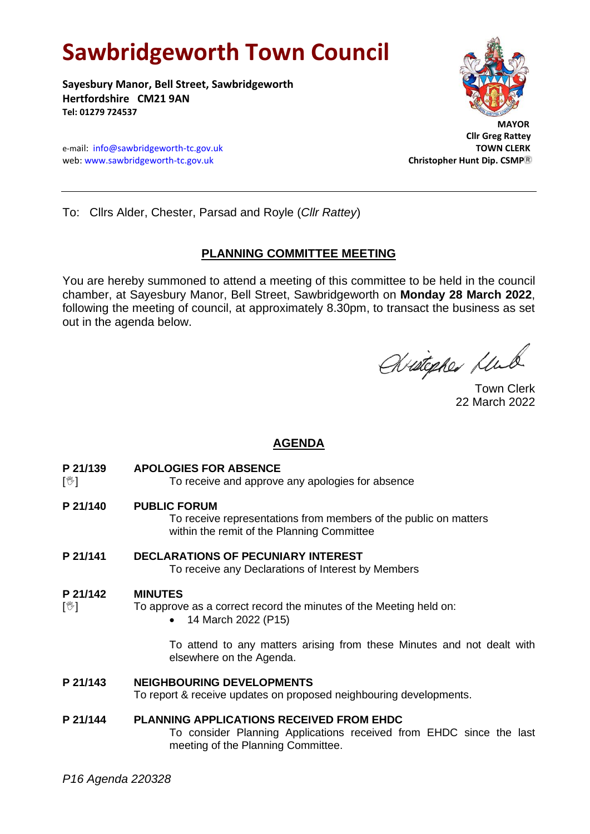# **Sawbridgeworth Town Council**

**Sayesbury Manor, Bell Street, Sawbridgeworth Hertfordshire CM21 9AN Tel: 01279 724537**

e-mail: [info@sawbridgeworth-tc.gov.uk](mailto:info@sawbridgeworth-tc.gov.uk)<br>
web: www.sawbridgeworth-tc.gov.uk **TOWN CLERK**<br>
Christopher Hunt Dip. CSMP® web: www.sawbridgeworth-tc.gov.uk



 **Cllr Greg Rattey**

To: Cllrs Alder, Chester, Parsad and Royle (*Cllr Rattey*)

## **PLANNING COMMITTEE MEETING**

You are hereby summoned to attend a meeting of this committee to be held in the council chamber, at Sayesbury Manor, Bell Street, Sawbridgeworth on **Monday 28 March 2022**, following the meeting of council, at approximately 8.30pm, to transact the business as set out in the agenda below.

Writepher Klub

22 March 2022

# **AGENDA**

**P 21/139 APOLOGIES FOR ABSENCE**

[ $\sqrt[6]{ }$ ] To receive and approve any apologies for absence

**P 21/140 PUBLIC FORUM**

To receive representations from members of the public on matters within the remit of the Planning Committee

**P 21/141 DECLARATIONS OF PECUNIARY INTEREST**

To receive any Declarations of Interest by Members

#### **P 21/142 MINUTES**

- $[\mathcal{Y}]$  To approve as a correct record the minutes of the Meeting held on:
	- 14 March 2022 (P15)

To attend to any matters arising from these Minutes and not dealt with elsewhere on the Agenda.

#### **P 21/143 NEIGHBOURING DEVELOPMENTS**

To report & receive updates on proposed neighbouring developments.

#### **P 21/144 PLANNING APPLICATIONS RECEIVED FROM EHDC**

To consider Planning Applications received from EHDC since the last meeting of the Planning Committee.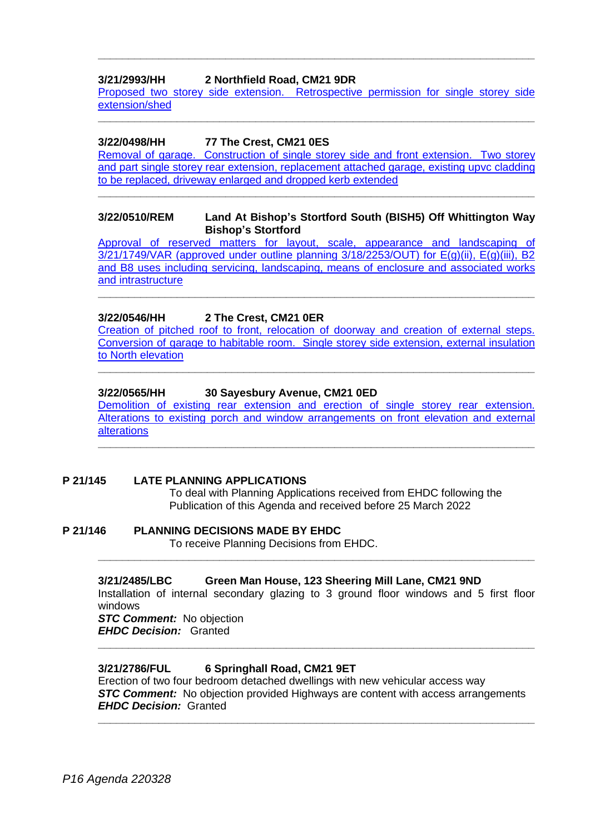## **3/21/2993/HH 2 Northfield Road, CM21 9DR**

[Proposed two storey side extension. Retrospective permission for single storey side](https://publicaccess.eastherts.gov.uk/online-applications/applicationDetails.do?activeTab=documents&keyVal=R3FFO3GLIBU00)  [extension/shed](https://publicaccess.eastherts.gov.uk/online-applications/applicationDetails.do?activeTab=documents&keyVal=R3FFO3GLIBU00) **\_\_\_\_\_\_\_\_\_\_\_\_\_\_\_\_\_\_\_\_\_\_\_\_\_\_\_\_\_\_\_\_\_\_\_\_\_\_\_\_\_\_\_\_\_\_\_\_\_\_\_\_\_\_\_\_\_\_\_\_\_\_\_\_\_\_\_\_\_\_\_\_**

**\_\_\_\_\_\_\_\_\_\_\_\_\_\_\_\_\_\_\_\_\_\_\_\_\_\_\_\_\_\_\_\_\_\_\_\_\_\_\_\_\_\_\_\_\_\_\_\_\_\_\_\_\_\_\_\_\_\_\_\_\_\_\_\_\_\_\_\_\_\_\_\_**

#### **3/22/0498/HH 77 The Crest, CM21 0ES**

[Removal of garage. Construction of single storey side and front extension. Two storey](https://publicaccess.eastherts.gov.uk/online-applications/applicationDetails.do?activeTab=documents&keyVal=R8FDHHGLJTT00)  [and part single storey rear extension, replacement attached garage, existing upvc cladding](https://publicaccess.eastherts.gov.uk/online-applications/applicationDetails.do?activeTab=documents&keyVal=R8FDHHGLJTT00)  [to be replaced, driveway enlarged and dropped kerb extended](https://publicaccess.eastherts.gov.uk/online-applications/applicationDetails.do?activeTab=documents&keyVal=R8FDHHGLJTT00)

**\_\_\_\_\_\_\_\_\_\_\_\_\_\_\_\_\_\_\_\_\_\_\_\_\_\_\_\_\_\_\_\_\_\_\_\_\_\_\_\_\_\_\_\_\_\_\_\_\_\_\_\_\_\_\_\_\_\_\_\_\_\_\_\_\_\_\_\_\_\_\_\_**

#### **3/22/0510/REM Land At Bishop's Stortford South (BISH5) Off Whittington Way Bishop's Stortford**

[Approval of reserved matters for layout, scale, appearance and landscaping of](https://publicaccess.eastherts.gov.uk/online-applications/applicationDetails.do?activeTab=documents&keyVal=R8HGCUGL00X00)   $3/21/1749/\text{VAR}$  (approved under outline planning  $3/18/2253/\text{OUT}$ ) for  $E(g)(ii)$ ,  $E(g)(iii)$ , B2 [and B8 uses including servicing, landscaping, means of enclosure and associated works](https://publicaccess.eastherts.gov.uk/online-applications/applicationDetails.do?activeTab=documents&keyVal=R8HGCUGL00X00)  [and intrastructure](https://publicaccess.eastherts.gov.uk/online-applications/applicationDetails.do?activeTab=documents&keyVal=R8HGCUGL00X00)

**\_\_\_\_\_\_\_\_\_\_\_\_\_\_\_\_\_\_\_\_\_\_\_\_\_\_\_\_\_\_\_\_\_\_\_\_\_\_\_\_\_\_\_\_\_\_\_\_\_\_\_\_\_\_\_\_\_\_\_\_\_\_\_\_\_\_\_\_\_\_\_\_**

#### **3/22/0546/HH 2 The Crest, CM21 0ER**

[Creation of pitched roof to front, relocation of doorway and creation of external steps.](https://publicaccess.eastherts.gov.uk/online-applications/applicationDetails.do?activeTab=documents&keyVal=R8QHEXGLJXI00)  Conversion of garage [to habitable room. Single storey side extension, external insulation](https://publicaccess.eastherts.gov.uk/online-applications/applicationDetails.do?activeTab=documents&keyVal=R8QHEXGLJXI00)  [to North elevation](https://publicaccess.eastherts.gov.uk/online-applications/applicationDetails.do?activeTab=documents&keyVal=R8QHEXGLJXI00)

**\_\_\_\_\_\_\_\_\_\_\_\_\_\_\_\_\_\_\_\_\_\_\_\_\_\_\_\_\_\_\_\_\_\_\_\_\_\_\_\_\_\_\_\_\_\_\_\_\_\_\_\_\_\_\_\_\_\_\_\_\_\_\_\_\_\_\_\_\_\_\_\_**

#### **3/22/0565/HH 30 Sayesbury Avenue, CM21 0ED**

Demolition [of existing rear extension and erection of single storey rear extension.](https://publicaccess.eastherts.gov.uk/online-applications/applicationDetails.do?activeTab=documents&keyVal=R8TVLGGLJYS00)  [Alterations to existing porch and window arrangements on front elevation and external](https://publicaccess.eastherts.gov.uk/online-applications/applicationDetails.do?activeTab=documents&keyVal=R8TVLGGLJYS00)  [alterations](https://publicaccess.eastherts.gov.uk/online-applications/applicationDetails.do?activeTab=documents&keyVal=R8TVLGGLJYS00)

**\_\_\_\_\_\_\_\_\_\_\_\_\_\_\_\_\_\_\_\_\_\_\_\_\_\_\_\_\_\_\_\_\_\_\_\_\_\_\_\_\_\_\_\_\_\_\_\_\_\_\_\_\_\_\_\_\_\_\_\_\_\_\_\_\_\_\_\_\_\_\_\_**

#### **P 21/145 LATE PLANNING APPLICATIONS**

To deal with Planning Applications received from EHDC following the Publication of this Agenda and received before 25 March 2022

**P 21/146 PLANNING DECISIONS MADE BY EHDC** To receive Planning Decisions from EHDC.

#### **3/21/2485/LBC Green Man House, 123 Sheering Mill Lane, CM21 9ND**

Installation of internal secondary glazing to 3 ground floor windows and 5 first floor windows

**\_\_\_\_\_\_\_\_\_\_\_\_\_\_\_\_\_\_\_\_\_\_\_\_\_\_\_\_\_\_\_\_\_\_\_\_\_\_\_\_\_\_\_\_\_\_\_\_\_\_\_\_\_\_\_\_\_\_\_\_\_\_\_\_\_\_\_\_\_\_\_\_**

**\_\_\_\_\_\_\_\_\_\_\_\_\_\_\_\_\_\_\_\_\_\_\_\_\_\_\_\_\_\_\_\_\_\_\_\_\_\_\_\_\_\_\_\_\_\_\_\_\_\_\_\_\_\_\_\_\_\_\_\_\_\_\_\_\_\_\_\_\_\_\_\_**

*STC Comment:* No objection *EHDC Decision:* Granted

#### **3/21/2786/FUL 6 Springhall Road, CM21 9ET**

Erection of two four bedroom detached dwellings with new vehicular access way **STC Comment:** No objection provided Highways are content with access arrangements *EHDC Decision:* Granted

**\_\_\_\_\_\_\_\_\_\_\_\_\_\_\_\_\_\_\_\_\_\_\_\_\_\_\_\_\_\_\_\_\_\_\_\_\_\_\_\_\_\_\_\_\_\_\_\_\_\_\_\_\_\_\_\_\_\_\_\_\_\_\_\_\_\_\_\_\_\_\_\_**